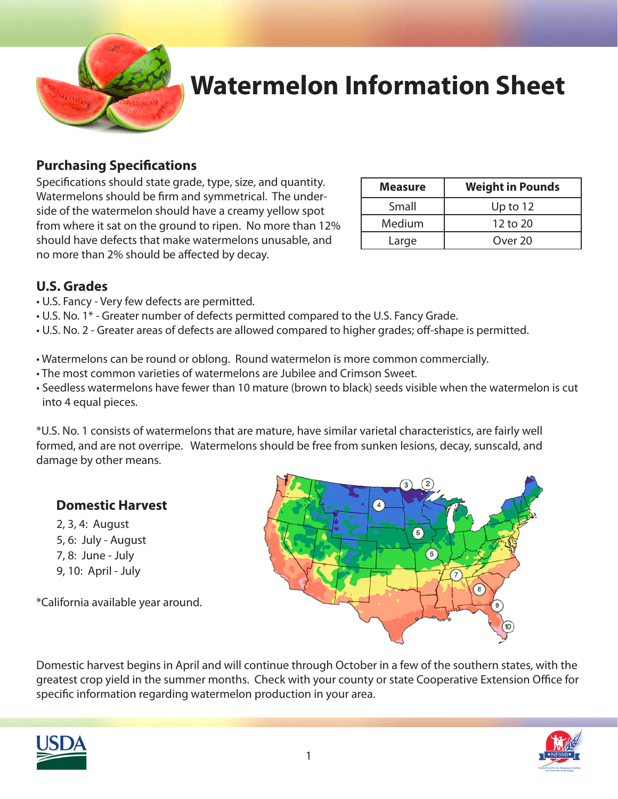

# **Watermelon Information Sheet**

### **Purchasing Specifications**

Specifications should state grade, type, size, and quantity. Watermelons should be firm and symmetrical. The underside of the watermelon should have a creamy yellow spot from where it sat on the ground to ripen. No more than 12% should have defects that make watermelons unusable, and no more than 2% should be affected by decay.

| <b>Measure</b> | <b>Weight in Pounds</b> |
|----------------|-------------------------|
| Small          | Up to $12$              |
| Medium         | $12$ to $20$            |
| Large          | Over 20                 |

### **U.S. Grades**

- U.S. Fancy Very few defects are permitted.
- U.S. No. 1\* Greater number of defects permitted compared to the U.S. Fancy Grade.
- U.S. No. 2 Greater areas of defects are allowed compared to higher grades; off-shape is permitted.
- Watermelons can be round or oblong. Round watermelon is more common commercially.
- The most common varieties of watermelons are Jubilee and Crimson Sweet.
- Seedless watermelons have fewer than 10 mature (brown to black) seeds visible when the watermelon is cut into 4 equal pieces.

\*U.S. No. 1 consists of watermelons that are mature, have similar varietal characteristics, are fairly well formed, and are not overripe. Watermelons should be free from sunken lesions, decay, sunscald, and damage by other means.

### **Domestic Harvest**

2, 3, 4: August 5, 6: July - August 7, 8: June - July 9, 10: April - July

\*California available year around.

Domestic harvest begins in April and will continue through October in a few of the southern states, with the greatest crop yield in the summer months. Check with your county or state Cooperative Extension Office for specific information regarding watermelon production in your area.